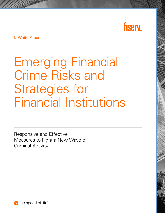

White Paper

Emerging Financial Crime Risks and Strategies for Financial Institutions

Responsive and Effective Measures to Fight a New Wave of Criminal Activity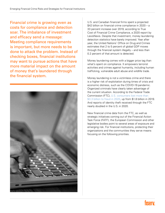Financial crime is growing even as costs for compliance and detection soar. The imbalance of investment and efficacy send a message: Meeting compliance requirements is important, but more needs to be done to attack the problem. Instead of checking boxes, financial institutions may want to pursue actions that have more material impact on the amount of money that's laundered through the financial system.



U.S. and Canadian financial firms spent a projected \$42 billion on financial crime compliance in 2020 – a 33 percent increase over 2019, according to True Cost of Financial Crime Compliance, a 2020 report by LexisNexis. Despite that investment, money laundering detection statistics have barely improved. Year after year, the United Nations' Office on Drug and Crimes estimates that 2 to 5 percent of global GDP moves through the financial system illegally – and less than 0.2 percent of that amount is detected.

Money laundering comes with a bigger price tag than what's spent on compliance. It empowers terrorist activities and crimes against humanity, including human trafficking, vulnerable adult abuse and wildlife trade.

Money laundering is not a victimless crime and there is a higher risk of exploitation during times of crisis and economic distress, such as the COVID-19 pandemic. Organized criminals have clearly taken advantage of the current situation. According to the Federal Trade Commission (FTC), [U.S. consumers lost more than](https://www.ftc.gov/news-events/press-releases/2021/02/new-data-shows-ftc-received-2-2-million-fraud-reports-consumers) [\\$3.3 billion to fraud in 2020](https://www.ftc.gov/news-events/press-releases/2021/02/new-data-shows-ftc-received-2-2-million-fraud-reports-consumers), up from \$1.8 billion in 2019. And reports of identity theft received through the FTC nearly doubled in the U.S. in 2020.

New financial crime data from the FTC, as well as strategic initiatives coming out of the Financial Action Task Force (FATF), the European Commission and other legislative bodies point to several areas of exposure and emerging risk. For financial institutions, protecting their organizations and the communities they serve means focusing on the following priorities.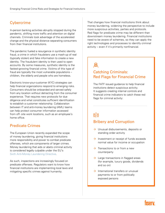# **Cybercrime**

In-person banking activities abruptly stopped during the pandemic, shifting more traffic and attention on digital channels. Criminals took advantage of the accelerated change and the physical distance separating consumers from their financial institutions.

The pandemic fueled a resurgence in synthetic identity fraud, a crime in which fraudsters use a mash-up of real (typically stolen) and fake information to create a new identity. The fraudulent identity is then used to open accounts. By some measures, synthetic identity is the fastest-growing financial crime. Victims of this type of fraud are typically the most vulnerable populations – children, the elderly and people who are homeless.

Electronic know-your-customer (KYC) strategies can help financial organizations respond to emerging risks. Consumers should be onboarded and served safely from any location without detracting from the consumer experience. That requires new protocols for due diligence and what constitutes sufficient identification to establish a customer relationship. Collaboration between IT and anti-money laundering (AML) teams can help protect consumer information accessed from off- site work locations, such as an employee's home office.

# Predicate Crimes

The European Union recently expanded the scope of money laundering, giving financial institutions more responsibility and power to combat predicate offenses, which are components of larger crimes. Money laundering that aids or abets criminal activity is considered legally culpable under the EU's [Sixth Anti-Money Laundering Directive](https://eur-lex.europa.eu/legal-content/EN/TXT/?uri=uriserv:OJ.L_.2018.284.01.0022.01.ENG).

As such, inspections are increasingly focused on predicate offenses. Regulators want to know how financial institutions are implementing local laws and mitigating specific crimes against humanity.

That changes how financial institutions think about money laundering, widening the perspective to include more suspicious activities, parties and protocols. Red flags for predicate crime may be different than downstream money laundering. Financial institutions need to be aware of schemes, so they can apply the right technologies and processes to identify criminal activity – even if it's primarily nonfinancial.

# Catching Criminals: Red Flags for Financial Crime

The FATF issued guidance to help financial institutions detect suspicious activity. It suggests creating internal controls and financial crime indicators to catch these red flags for criminal activity:

# $\delta$

### Bribery and Corruption

- → Unusual disbursements, deposits or standing order activity
- > Investment or receipt of funds exceeds normal value for income or occupation
- $\rightarrow$  Transactions to or from a new counterparty
- $\rightarrow$  Large transactions in flagged areas (for example, luxury goods, dividends and so on)
- $\rightarrow$  International transfers or unusual payments to or from politically exposed persons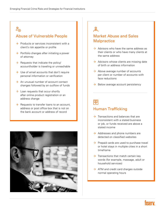$\mathcal{E}_{\infty}$ 

# Abuse of Vulnerable People

- $\rightarrow$  Products or services inconsistent with a client's risk appetite or profile
- $\rightarrow$  Portfolio changes after initiating a power of attorney
- $\rightarrow$  Requests that indicate the policy/ accountholder is traveling or unreachable
- $\rightarrow$  Use of email accounts that don't require personal information or verification
- $\rightarrow$  An unusual number of account contact changes followed by an outflow of funds
- $\rightarrow$  Loan requests that occur shortly after online product registration or an address change
- $\rightarrow$  Requests to transfer loans to an account, address or post office box that is not on the bank account or address of record



# $\frac{1}{2}$

## Market Abuse and Sales **Malpractice**

- $\rightarrow$  Advisors who have the same address as their clients or who have many clients at the same address
- $\rightarrow$  Advisors whose clients are missing date of birth or address information
- $\rightarrow$  Above average number of accounts per client or number of accounts with face reductions
- $\rightarrow$  Below average account persistency

# 囤

#### Human Trafficking

- $\rightarrow$  Transactions and balances that are inconsistent with a stated business or job, or funds received are above a stated income
- $\rightarrow$  Addresses and phone numbers are detected on classified websites
- $\rightarrow$  Prepaid cards are used to purchase travel or hotel stays in multiple cities in a short timeframe
- $\rightarrow$  Transactions that match certain key words (for example, massage, adult or household services)
- $\rightarrow$  ATM and credit card charges outside normal operating hours

# TIQATV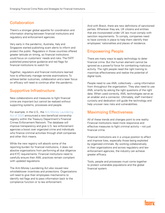# Collaboration

There's a stronger global appetite for coordination and information sharing between financial institutions and regulatory and enforcement agencies.

Very early in the pandemic, Australia, Italy and Singapore started publishing scam alerts to inform and protect the public. Regulators in those countries offered greater latitude on timing, so financial institutions could focus on customers' needs and risks. The FATF published prescriptive guidance and red flags for financial institutions to watch for.

Together, regulators and financial institutions learned how to effectively manage remote examinations. To achieve better outcomes, collaboration and a laser focus on efficacy will need to continue after the pandemic.

# Supportive Infrastructure

New collaborations and measures to fight financial crime are important but cannot be realized without supporting systems, processes and people.

For example, in the U.S., the [Anti-Money Laundering](https://www.natlawreview.com/article/anti-money-laundering-act-2020-congress-enacts-most-sweeping-aml-legislation-passage)  [Act of 2020](https://www.natlawreview.com/article/anti-money-laundering-act-2020-congress-enacts-most-sweeping-aml-legislation-passage) announced a new beneficial ownership registry within the Treasury Department's Financial Crimes Enforcement Network. The database will improve transparency and give U.S. law enforcement agencies a boost over organized crime and individuals who finance criminal activities through shell companies and other illicit means.

While the new registry will absorb some of the reporting burden for financial institutions, it does not absolve organizations from performing all due diligence and KYC requirements. Financial institutions need to carefully ensure their AML practices remain compliant with updated regulations.

The Anti-Money Laundering Act also issued new whistleblower incentives and protections. Organizations will need to give their employees mechanisms to identify red flags and to pass information back to the compliance function or to law enforcement.

And with Brexit, there are new definitions of sanctioned parties. Wherever they are, UK citizens and entities that are incorporated under UK law must comply with sanction requirements. To comply, companies need to have controls in place to help them identify their employees' nationalities and places of residence.

### Empowering People

There are many ways to apply technology to deter financial crime. But the human element cannot be ignored as a powerful force for combatting malicious activity. The right people need the right training to maximize effectiveness and realize the potential of digital tools.

People need to use AML collectively – using information from throughout the organization. They also need to use AML smartly by asking the right questions of the right data. When used correctly, AML technologies serve as an enabler and a connector. Ultimately, staff members' curiosity and dedication will guide the technology and help uncover new risks and vulnerabilities.

#### Maximizing Effectiveness

All of these trends and changes point to one reality: Financial institutions need more responsive and effective measures to fight criminal activity – not just financial crime.

Financial institutions are in a unique position to affect and improve lives, especially those being exploited by organized criminals. By working collaboratively in their organizations and across regulatory and law enforcement agencies, the industry can achieve greater efficacy.

Tools, people and processes must come together to protect vulnerable populations and the global financial system.